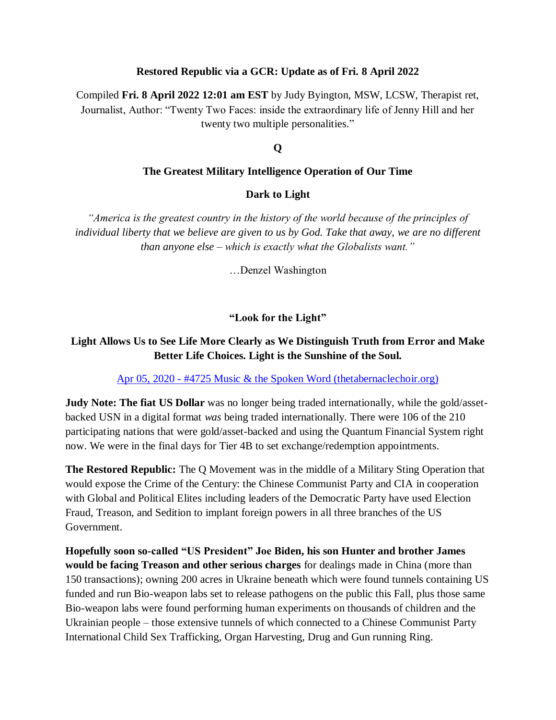#### **Restored Republic via a GCR: Update as of Fri. 8 April 2022**

Compiled **Fri. 8 April 2022 12:01 am EST** by Judy Byington, MSW, LCSW, Therapist ret, Journalist, Author: "Twenty Two Faces: inside the extraordinary life of Jenny Hill and her twenty two multiple personalities."

### **Q**

#### **The Greatest Military Intelligence Operation of Our Time**

#### **Dark to Light**

*"America is the greatest country in the history of the world because of the principles of individual liberty that we believe are given to us by God. Take that away, we are no different than anyone else – which is exactly what the Globalists want."*

…Denzel Washington

## **"Look for the Light"**

# **Light Allows Us to See Life More Clearly as We Distinguish Truth from Error and Make Better Life Choices. Light is the Sunshine of the Soul.**

#### Apr 05, 2020 - [#4725 Music & the Spoken Word \(thetabernaclechoir.org\)](https://www.thetabernaclechoir.org/videos/april-05-2020-4725-music-and-the-spoken-word.html)

**Judy Note: The fiat US Dollar** was no longer being traded internationally, while the gold/assetbacked USN in a digital format *was* being traded internationally. There were 106 of the 210 participating nations that were gold/asset-backed and using the Quantum Financial System right now. We were in the final days for Tier 4B to set exchange/redemption appointments.

**The Restored Republic:** The Q Movement was in the middle of a Military Sting Operation that would expose the Crime of the Century: the Chinese Communist Party and CIA in cooperation with Global and Political Elites including leaders of the Democratic Party have used Election Fraud, Treason, and Sedition to implant foreign powers in all three branches of the US Government.

**Hopefully soon so-called "US President" Joe Biden, his son Hunter and brother James would be facing Treason and other serious charges** for dealings made in China (more than 150 transactions); owning 200 acres in Ukraine beneath which were found tunnels containing US funded and run Bio-weapon labs set to release pathogens on the public this Fall, plus those same Bio-weapon labs were found performing human experiments on thousands of children and the Ukrainian people – those extensive tunnels of which connected to a Chinese Communist Party International Child Sex Trafficking, Organ Harvesting, Drug and Gun running Ring.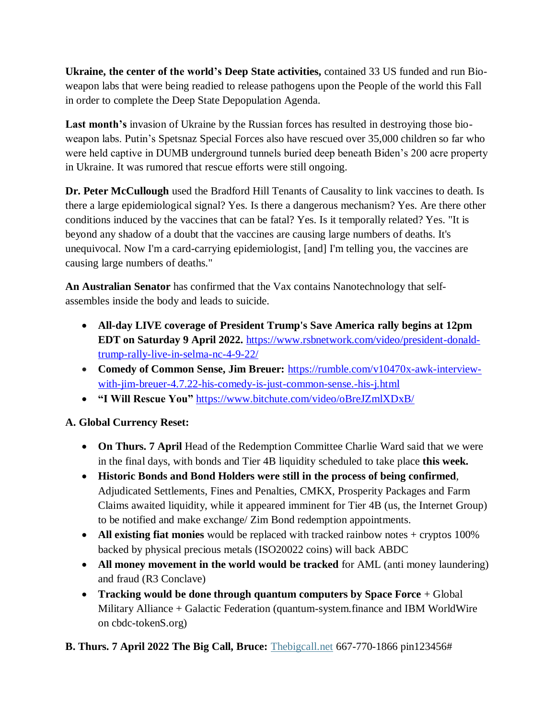**Ukraine, the center of the world's Deep State activities,** contained 33 US funded and run Bioweapon labs that were being readied to release pathogens upon the People of the world this Fall in order to complete the Deep State Depopulation Agenda.

**Last month's** invasion of Ukraine by the Russian forces has resulted in destroying those bioweapon labs. Putin"s Spetsnaz Special Forces also have rescued over 35,000 children so far who were held captive in DUMB underground tunnels buried deep beneath Biden"s 200 acre property in Ukraine. It was rumored that rescue efforts were still ongoing.

**Dr. Peter McCullough** used the Bradford Hill Tenants of Causality to link vaccines to death. Is there a large epidemiological signal? Yes. Is there a dangerous mechanism? Yes. Are there other conditions induced by the vaccines that can be fatal? Yes. Is it temporally related? Yes. "It is beyond any shadow of a doubt that the vaccines are causing large numbers of deaths. It's unequivocal. Now I'm a card-carrying epidemiologist, [and] I'm telling you, the vaccines are causing large numbers of deaths."

**An Australian Senator** has confirmed that the Vax contains Nanotechnology that selfassembles inside the body and leads to suicide.

- **All-day LIVE coverage of President Trump's Save America rally begins at 12pm EDT on Saturday 9 April 2022.** [https://www.rsbnetwork.com/video/president-donald](https://www.rsbnetwork.com/video/president-donald-trump-rally-live-in-selma-nc-4-9-22/)[trump-rally-live-in-selma-nc-4-9-22/](https://www.rsbnetwork.com/video/president-donald-trump-rally-live-in-selma-nc-4-9-22/)
- Comedy of Common Sense, Jim Breuer: [https://rumble.com/v10470x-awk-interview](https://rumble.com/v10470x-awk-interview-with-jim-breuer-4.7.22-his-comedy-is-just-common-sense.-his-j.html)[with-jim-breuer-4.7.22-his-comedy-is-just-common-sense.-his-j.html](https://rumble.com/v10470x-awk-interview-with-jim-breuer-4.7.22-his-comedy-is-just-common-sense.-his-j.html)
- **"I Will Rescue You"** <https://www.bitchute.com/video/oBreJZmlXDxB/>

# **A. Global Currency Reset:**

- **On Thurs. 7 April** Head of the Redemption Committee Charlie Ward said that we were in the final days, with bonds and Tier 4B liquidity scheduled to take place **this week.**
- **Historic Bonds and Bond Holders were still in the process of being confirmed**, Adjudicated Settlements, Fines and Penalties, CMKX, Prosperity Packages and Farm Claims awaited liquidity, while it appeared imminent for Tier 4B (us, the Internet Group) to be notified and make exchange/ Zim Bond redemption appointments.
- All existing fiat monies would be replaced with tracked rainbow notes + cryptos 100% backed by physical precious metals (ISO20022 coins) will back ABDC
- **All money movement in the world would be tracked** for AML (anti money laundering) and fraud (R3 Conclave)
- **Tracking would be done through quantum computers by Space Force** + Global Military Alliance + Galactic Federation (quantum-system.finance and IBM WorldWire on cbdc-tokenS.org)
- **B. Thurs. 7 April 2022 The Big Call, Bruce:** [Thebigcall.net](http://www.thebigcall.net/) 667-770-1866 pin123456#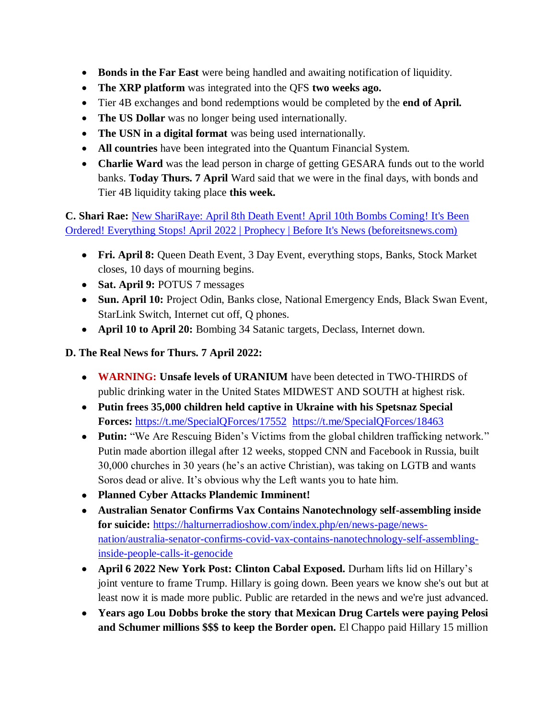- **Bonds in the Far East** were being handled and awaiting notification of liquidity.
- **The XRP platform** was integrated into the QFS **two weeks ago.**
- Tier 4B exchanges and bond redemptions would be completed by the **end of April.**
- The US Dollar was no longer being used internationally.
- **The USN in a digital format** was being used internationally.
- **All countries** have been integrated into the Quantum Financial System.
- **Charlie Ward** was the lead person in charge of getting GESARA funds out to the world banks. **Today Thurs. 7 April** Ward said that we were in the final days, with bonds and Tier 4B liquidity taking place **this week.**

**C. Shari Rae:** [New ShariRaye: April 8th Death Event! April 10th Bombs Coming! It's Been](https://beforeitsnews.com/prophecy/2022/04/new-shariraye-april-8th-death-event-its-been-ordered-everything-stops-april-2022-2529511.html)  [Ordered! Everything Stops! April 2022 | Prophecy | Before It's News \(beforeitsnews.com\)](https://beforeitsnews.com/prophecy/2022/04/new-shariraye-april-8th-death-event-its-been-ordered-everything-stops-april-2022-2529511.html)

- **Fri. April 8:** Queen Death Event, 3 Day Event, everything stops, Banks, Stock Market closes, 10 days of mourning begins.
- **Sat. April 9:** POTUS 7 messages
- **Sun. April 10:** Project Odin, Banks close, National Emergency Ends, Black Swan Event, StarLink Switch, Internet cut off, Q phones.
- **April 10 to April 20:** Bombing 34 Satanic targets, Declass, Internet down.

# **D. The Real News for Thurs. 7 April 2022:**

- **WARNING: Unsafe levels of URANIUM** have been detected in TWO-THIRDS of public drinking water in the United States MIDWEST AND SOUTH at highest risk.
- **Putin frees 35,000 children held captive in Ukraine with his Spetsnaz Special Forces:** <https://t.me/SpecialQForces/17552><https://t.me/SpecialQForces/18463>
- Putin: "We Are Rescuing Biden's Victims from the global children trafficking network." Putin made abortion illegal after 12 weeks, stopped CNN and Facebook in Russia, built 30,000 churches in 30 years (he"s an active Christian), was taking on LGTB and wants Soros dead or alive. It's obvious why the Left wants you to hate him.
- **Planned Cyber Attacks Plandemic Imminent!**
- **Australian Senator Confirms Vax Contains Nanotechnology self-assembling inside for suicide:** [https://halturnerradioshow.com/index.php/en/news-page/news](https://halturnerradioshow.com/index.php/en/news-page/news-nation/australia-senator-confirms-covid-vax-contains-nanotechnology-self-assembling-inside-people-calls-it-genocide)[nation/australia-senator-confirms-covid-vax-contains-nanotechnology-self-assembling](https://halturnerradioshow.com/index.php/en/news-page/news-nation/australia-senator-confirms-covid-vax-contains-nanotechnology-self-assembling-inside-people-calls-it-genocide)[inside-people-calls-it-genocide](https://halturnerradioshow.com/index.php/en/news-page/news-nation/australia-senator-confirms-covid-vax-contains-nanotechnology-self-assembling-inside-people-calls-it-genocide)
- **April 6 2022 New York Post: Clinton Cabal Exposed.** Durham lifts lid on Hillary"s joint venture to frame Trump. Hillary is going down. Been years we know she's out but at least now it is made more public. Public are retarded in the news and we're just advanced.
- **Years ago Lou Dobbs broke the story that Mexican Drug Cartels were paying Pelosi and Schumer millions \$\$\$ to keep the Border open.** El Chappo paid Hillary 15 million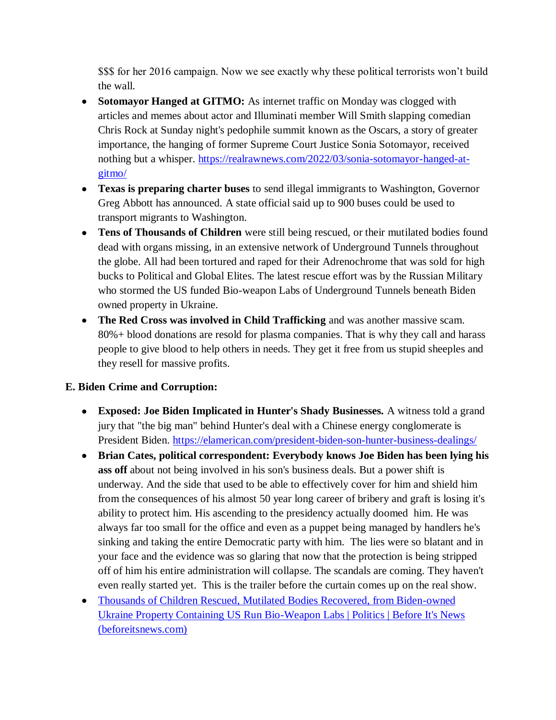\$\$\$ for her 2016 campaign. Now we see exactly why these political terrorists won't build the wall.

- **Sotomayor Hanged at GITMO:** As internet traffic on Monday was clogged with articles and memes about actor and Illuminati member Will Smith slapping comedian Chris Rock at Sunday night's pedophile summit known as the Oscars, a story of greater importance, the hanging of former Supreme Court Justice Sonia Sotomayor, received nothing but a whisper. [https://realrawnews.com/2022/03/sonia-sotomayor-hanged-at](https://realrawnews.com/2022/03/sonia-sotomayor-hanged-at-gitmo/)[gitmo/](https://realrawnews.com/2022/03/sonia-sotomayor-hanged-at-gitmo/)
- **Texas is preparing charter buses** to send illegal immigrants to Washington, Governor Greg Abbott has announced. A state official said up to 900 buses could be used to transport migrants to Washington.
- **Tens of Thousands of Children** were still being rescued, or their mutilated bodies found dead with organs missing, in an extensive network of Underground Tunnels throughout the globe. All had been tortured and raped for their Adrenochrome that was sold for high bucks to Political and Global Elites. The latest rescue effort was by the Russian Military who stormed the US funded Bio-weapon Labs of Underground Tunnels beneath Biden owned property in Ukraine.
- **The Red Cross was involved in Child Trafficking** and was another massive scam. 80%+ blood donations are resold for plasma companies. That is why they call and harass people to give blood to help others in needs. They get it free from us stupid sheeples and they resell for massive profits.

# **E. Biden Crime and Corruption:**

- **Exposed: Joe Biden Implicated in Hunter's Shady Businesses.** A witness told a grand jury that "the big man" behind Hunter's deal with a Chinese energy conglomerate is President Biden.<https://elamerican.com/president-biden-son-hunter-business-dealings/>
- **Brian Cates, political correspondent: Everybody knows Joe Biden has been lying his ass off** about not being involved in his son's business deals. But a power shift is underway. And the side that used to be able to effectively cover for him and shield him from the consequences of his almost 50 year long career of bribery and graft is losing it's ability to protect him. His ascending to the presidency actually doomed him. He was always far too small for the office and even as a puppet being managed by handlers he's sinking and taking the entire Democratic party with him. The lies were so blatant and in your face and the evidence was so glaring that now that the protection is being stripped off of him his entire administration will collapse. The scandals are coming. They haven't even really started yet. This is the trailer before the curtain comes up on the real show.
- [Thousands of Children Rescued, Mutilated Bodies Recovered, from Biden-owned](https://beforeitsnews.com/politics/2022/04/thousands-of-children-rescued-mutilated-bodies-recovered-from-biden-owned-ukraine-property-containing-us-run-bio-weapon-labs-3259889.html)  [Ukraine Property Containing US Run Bio-Weapon Labs | Politics | Before It's News](https://beforeitsnews.com/politics/2022/04/thousands-of-children-rescued-mutilated-bodies-recovered-from-biden-owned-ukraine-property-containing-us-run-bio-weapon-labs-3259889.html)  [\(beforeitsnews.com\)](https://beforeitsnews.com/politics/2022/04/thousands-of-children-rescued-mutilated-bodies-recovered-from-biden-owned-ukraine-property-containing-us-run-bio-weapon-labs-3259889.html)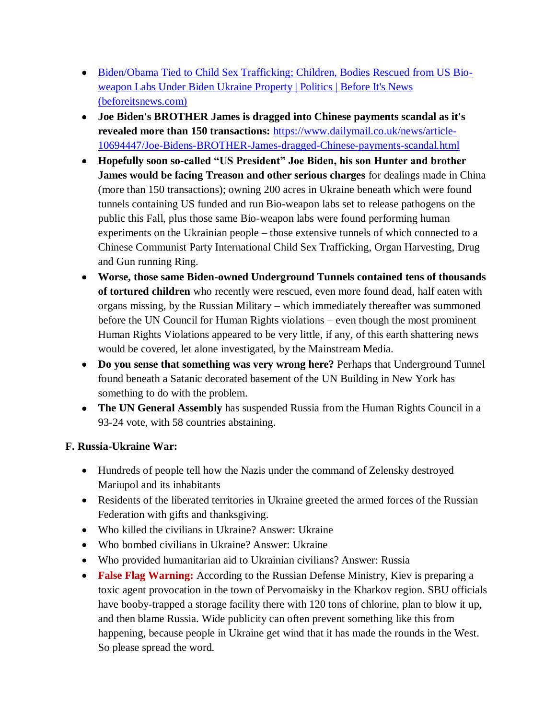- [Biden/Obama Tied to Child Sex Trafficking; Children, Bodies Rescued from US Bio](https://beforeitsnews.com/politics/2022/04/bidenobama-tied-to-child-sex-trafficking-children-bodies-rescued-from-us-bio-weapon-labs-under-biden-ukraine-property-3259928.html)[weapon Labs Under Biden Ukraine Property | Politics | Before It's News](https://beforeitsnews.com/politics/2022/04/bidenobama-tied-to-child-sex-trafficking-children-bodies-rescued-from-us-bio-weapon-labs-under-biden-ukraine-property-3259928.html)  [\(beforeitsnews.com\)](https://beforeitsnews.com/politics/2022/04/bidenobama-tied-to-child-sex-trafficking-children-bodies-rescued-from-us-bio-weapon-labs-under-biden-ukraine-property-3259928.html)
- **Joe Biden's BROTHER James is dragged into Chinese payments scandal as it's revealed more than 150 transactions:** [https://www.dailymail.co.uk/news/article-](https://www.dailymail.co.uk/news/article-10694447/Joe-Bidens-BROTHER-James-dragged-Chinese-payments-scandal.html)[10694447/Joe-Bidens-BROTHER-James-dragged-Chinese-payments-scandal.html](https://www.dailymail.co.uk/news/article-10694447/Joe-Bidens-BROTHER-James-dragged-Chinese-payments-scandal.html)
- **Hopefully soon so-called "US President" Joe Biden, his son Hunter and brother James would be facing Treason and other serious charges** for dealings made in China (more than 150 transactions); owning 200 acres in Ukraine beneath which were found tunnels containing US funded and run Bio-weapon labs set to release pathogens on the public this Fall, plus those same Bio-weapon labs were found performing human experiments on the Ukrainian people – those extensive tunnels of which connected to a Chinese Communist Party International Child Sex Trafficking, Organ Harvesting, Drug and Gun running Ring.
- **Worse, those same Biden-owned Underground Tunnels contained tens of thousands of tortured children** who recently were rescued, even more found dead, half eaten with organs missing, by the Russian Military – which immediately thereafter was summoned before the UN Council for Human Rights violations – even though the most prominent Human Rights Violations appeared to be very little, if any, of this earth shattering news would be covered, let alone investigated, by the Mainstream Media.
- **Do you sense that something was very wrong here?** Perhaps that Underground Tunnel found beneath a Satanic decorated basement of the UN Building in New York has something to do with the problem.
- **The UN General Assembly** has suspended Russia from the Human Rights Council in a 93-24 vote, with 58 countries abstaining.

# **F. Russia-Ukraine War:**

- Hundreds of people tell how the Nazis under the command of Zelensky destroyed Mariupol and its inhabitants
- Residents of the liberated territories in Ukraine greeted the armed forces of the Russian Federation with gifts and thanksgiving.
- Who killed the civilians in Ukraine? Answer: Ukraine
- Who bombed civilians in Ukraine? Answer: Ukraine
- Who provided humanitarian aid to Ukrainian civilians? Answer: Russia
- False Flag Warning: According to the Russian Defense Ministry, Kiev is preparing a toxic agent provocation in the town of Pervomaisky in the Kharkov region. SBU officials have booby-trapped a storage facility there with 120 tons of chlorine, plan to blow it up, and then blame Russia. Wide publicity can often prevent something like this from happening, because people in Ukraine get wind that it has made the rounds in the West. So please spread the word.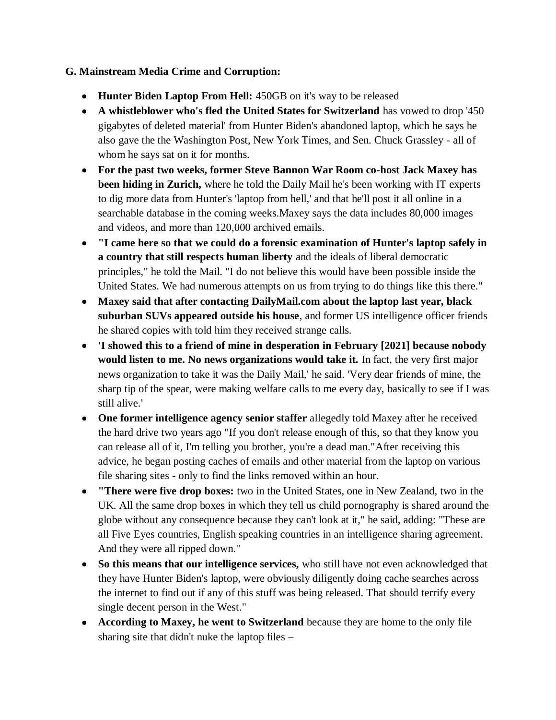## **G. Mainstream Media Crime and Corruption:**

- **Hunter Biden Laptop From Hell:** 450GB on it's way to be released
- **A whistleblower who's fled the United States for Switzerland** has vowed to drop '450 gigabytes of deleted material' from Hunter Biden's abandoned laptop, which he says he also gave the the Washington Post, New York Times, and Sen. Chuck Grassley - all of whom he says sat on it for months.
- **For the past two weeks, former Steve Bannon War Room co-host Jack Maxey has been hiding in Zurich,** where he told the Daily Mail he's been working with IT experts to dig more data from Hunter's 'laptop from hell,' and that he'll post it all online in a searchable database in the coming weeks.Maxey says the data includes 80,000 images and videos, and more than 120,000 archived emails.
- **"I came here so that we could do a forensic examination of Hunter's laptop safely in a country that still respects human liberty** and the ideals of liberal democratic principles," he told the Mail. "I do not believe this would have been possible inside the United States. We had numerous attempts on us from trying to do things like this there."
- **Maxey said that after contacting DailyMail.com about the laptop last year, black suburban SUVs appeared outside his house**, and former US intelligence officer friends he shared copies with told him they received strange calls.
- **'I showed this to a friend of mine in desperation in February [2021] because nobody would listen to me. No news organizations would take it.** In fact, the very first major news organization to take it was the Daily Mail,' he said. 'Very dear friends of mine, the sharp tip of the spear, were making welfare calls to me every day, basically to see if I was still alive.'
- **One former intelligence agency senior staffer** allegedly told Maxey after he received the hard drive two years ago "If you don't release enough of this, so that they know you can release all of it, I'm telling you brother, you're a dead man."After receiving this advice, he began posting caches of emails and other material from the laptop on various file sharing sites - only to find the links removed within an hour.
- **"There were five drop boxes:** two in the United States, one in New Zealand, two in the UK. All the same drop boxes in which they tell us child pornography is shared around the globe without any consequence because they can't look at it," he said, adding: "These are all Five Eyes countries, English speaking countries in an intelligence sharing agreement. And they were all ripped down."
- **So this means that our intelligence services,** who still have not even acknowledged that they have Hunter Biden's laptop, were obviously diligently doing cache searches across the internet to find out if any of this stuff was being released. That should terrify every single decent person in the West."
- **According to Maxey, he went to Switzerland** because they are home to the only file sharing site that didn't nuke the laptop files –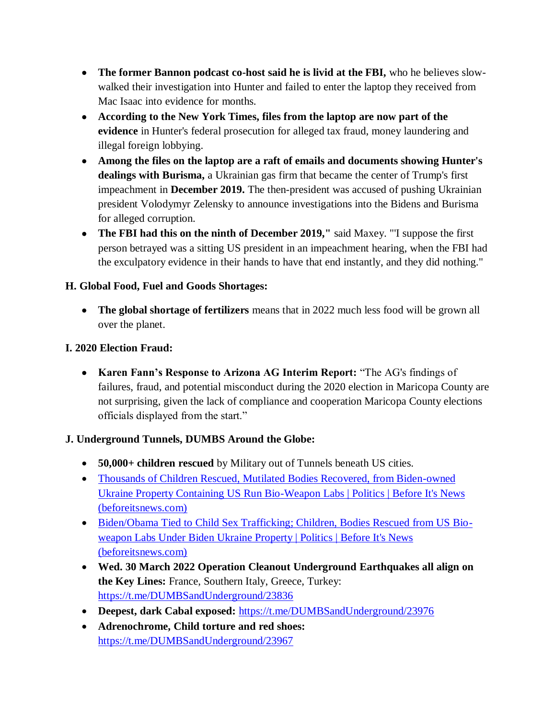- **•** The former Bannon podcast co-host said he is livid at the FBI, who he believes slowwalked their investigation into Hunter and failed to enter the laptop they received from Mac Isaac into evidence for months.
- **According to the New York Times, files from the laptop are now part of the evidence** in Hunter's federal prosecution for alleged tax fraud, money laundering and illegal foreign lobbying.
- **Among the files on the laptop are a raft of emails and documents showing Hunter's dealings with Burisma,** a Ukrainian gas firm that became the center of Trump's first impeachment in **December 2019.** The then-president was accused of pushing Ukrainian president Volodymyr Zelensky to announce investigations into the Bidens and Burisma for alleged corruption.
- **The FBI had this on the ninth of December 2019,"** said Maxey. "'I suppose the first person betrayed was a sitting US president in an impeachment hearing, when the FBI had the exculpatory evidence in their hands to have that end instantly, and they did nothing."

# **H. Global Food, Fuel and Goods Shortages:**

 **The global shortage of fertilizers** means that in 2022 much less food will be grown all over the planet.

## **I. 2020 Election Fraud:**

 **Karen Fann's Response to Arizona AG Interim Report:** "The AG's findings of failures, fraud, and potential misconduct during the 2020 election in Maricopa County are not surprising, given the lack of compliance and cooperation Maricopa County elections officials displayed from the start."

# **J. Underground Tunnels, DUMBS Around the Globe:**

- **50,000+ children rescued** by Military out of Tunnels beneath US cities.
- [Thousands of Children Rescued, Mutilated Bodies Recovered, from Biden-owned](https://beforeitsnews.com/politics/2022/04/thousands-of-children-rescued-mutilated-bodies-recovered-from-biden-owned-ukraine-property-containing-us-run-bio-weapon-labs-3259889.html)  [Ukraine Property Containing US Run Bio-Weapon Labs | Politics | Before It's News](https://beforeitsnews.com/politics/2022/04/thousands-of-children-rescued-mutilated-bodies-recovered-from-biden-owned-ukraine-property-containing-us-run-bio-weapon-labs-3259889.html)  [\(beforeitsnews.com\)](https://beforeitsnews.com/politics/2022/04/thousands-of-children-rescued-mutilated-bodies-recovered-from-biden-owned-ukraine-property-containing-us-run-bio-weapon-labs-3259889.html)
- [Biden/Obama Tied to Child Sex Trafficking; Children, Bodies Rescued from US Bio](https://beforeitsnews.com/politics/2022/04/bidenobama-tied-to-child-sex-trafficking-children-bodies-rescued-from-us-bio-weapon-labs-under-biden-ukraine-property-3259928.html)[weapon Labs Under Biden Ukraine Property | Politics | Before It's News](https://beforeitsnews.com/politics/2022/04/bidenobama-tied-to-child-sex-trafficking-children-bodies-rescued-from-us-bio-weapon-labs-under-biden-ukraine-property-3259928.html)  [\(beforeitsnews.com\)](https://beforeitsnews.com/politics/2022/04/bidenobama-tied-to-child-sex-trafficking-children-bodies-rescued-from-us-bio-weapon-labs-under-biden-ukraine-property-3259928.html)
- **Wed. 30 March 2022 Operation Cleanout Underground Earthquakes all align on the Key Lines:** France, Southern Italy, Greece, Turkey: <https://t.me/DUMBSandUnderground/23836>
- **Deepest, dark Cabal exposed:** <https://t.me/DUMBSandUnderground/23976>
- **Adrenochrome, Child torture and red shoes:** <https://t.me/DUMBSandUnderground/23967>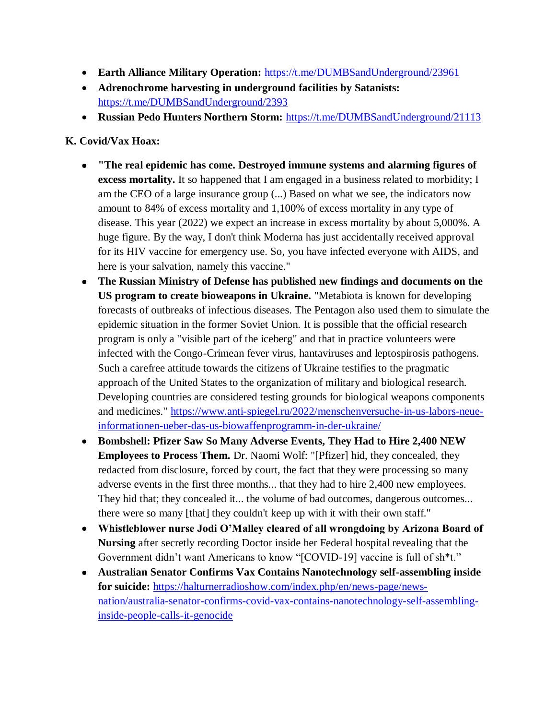- **Earth Alliance Military Operation:** <https://t.me/DUMBSandUnderground/23961>
- **Adrenochrome harvesting in underground facilities by Satanists:**  <https://t.me/DUMBSandUnderground/2393>
- **Russian Pedo Hunters Northern Storm:** <https://t.me/DUMBSandUnderground/21113>

## **K. Covid/Vax Hoax:**

- **"The real epidemic has come. Destroyed immune systems and alarming figures of excess mortality.** It so happened that I am engaged in a business related to morbidity; I am the CEO of a large insurance group (...) Based on what we see, the indicators now amount to 84% of excess mortality and 1,100% of excess mortality in any type of disease. This year (2022) we expect an increase in excess mortality by about 5,000%. A huge figure. By the way, I don't think Moderna has just accidentally received approval for its HIV vaccine for emergency use. So, you have infected everyone with AIDS, and here is your salvation, namely this vaccine."
- **The Russian Ministry of Defense has published new findings and documents on the US program to create bioweapons in Ukraine.** "Metabiota is known for developing forecasts of outbreaks of infectious diseases. The Pentagon also used them to simulate the epidemic situation in the former Soviet Union. It is possible that the official research program is only a "visible part of the iceberg" and that in practice volunteers were infected with the Congo-Crimean fever virus, hantaviruses and leptospirosis pathogens. Such a carefree attitude towards the citizens of Ukraine testifies to the pragmatic approach of the United States to the organization of military and biological research. Developing countries are considered testing grounds for biological weapons components and medicines." [https://www.anti-spiegel.ru/2022/menschenversuche-in-us-labors-neue](https://www.anti-spiegel.ru/2022/menschenversuche-in-us-labors-neue-informationen-ueber-das-us-biowaffenprogramm-in-der-ukraine/)[informationen-ueber-das-us-biowaffenprogramm-in-der-ukraine/](https://www.anti-spiegel.ru/2022/menschenversuche-in-us-labors-neue-informationen-ueber-das-us-biowaffenprogramm-in-der-ukraine/)
- **Bombshell: Pfizer Saw So Many Adverse Events, They Had to Hire 2,400 NEW Employees to Process Them.** Dr. Naomi Wolf: "[Pfizer] hid, they concealed, they redacted from disclosure, forced by court, the fact that they were processing so many adverse events in the first three months... that they had to hire 2,400 new employees. They hid that; they concealed it... the volume of bad outcomes, dangerous outcomes... there were so many [that] they couldn't keep up with it with their own staff."
- **Whistleblower nurse Jodi O'Malley cleared of all wrongdoing by Arizona Board of Nursing** after secretly recording Doctor inside her Federal hospital revealing that the Government didn"t want Americans to know "[COVID-19] vaccine is full of sh\*t."
- **Australian Senator Confirms Vax Contains Nanotechnology self-assembling inside for suicide:** [https://halturnerradioshow.com/index.php/en/news-page/news](https://halturnerradioshow.com/index.php/en/news-page/news-nation/australia-senator-confirms-covid-vax-contains-nanotechnology-self-assembling-inside-people-calls-it-genocide)[nation/australia-senator-confirms-covid-vax-contains-nanotechnology-self-assembling](https://halturnerradioshow.com/index.php/en/news-page/news-nation/australia-senator-confirms-covid-vax-contains-nanotechnology-self-assembling-inside-people-calls-it-genocide)[inside-people-calls-it-genocide](https://halturnerradioshow.com/index.php/en/news-page/news-nation/australia-senator-confirms-covid-vax-contains-nanotechnology-self-assembling-inside-people-calls-it-genocide)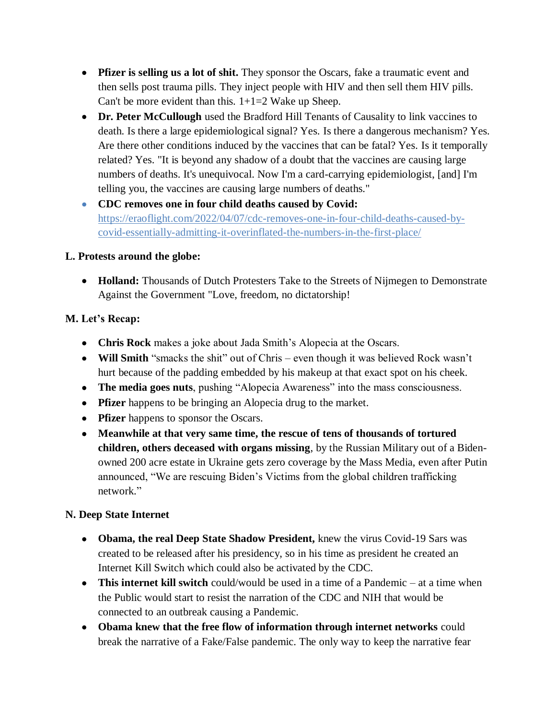- **Pfizer is selling us a lot of shit.** They sponsor the Oscars, fake a traumatic event and then sells post trauma pills. They inject people with HIV and then sell them HIV pills. Can't be more evident than this.  $1+1=2$  Wake up Sheep.
- **Dr. Peter McCullough** used the Bradford Hill Tenants of Causality to link vaccines to death. Is there a large epidemiological signal? Yes. Is there a dangerous mechanism? Yes. Are there other conditions induced by the vaccines that can be fatal? Yes. Is it temporally related? Yes. "It is beyond any shadow of a doubt that the vaccines are causing large numbers of deaths. It's unequivocal. Now I'm a card-carrying epidemiologist, [and] I'm telling you, the vaccines are causing large numbers of deaths."
- **CDC removes one in four child deaths caused by Covid:**  [https://eraoflight.com/2022/04/07/cdc-removes-one-in-four-child-deaths-caused-by](https://eraoflight.com/2022/04/07/cdc-removes-one-in-four-child-deaths-caused-by-covid-essentially-admitting-it-overinflated-the-numbers-in-the-first-place/)[covid-essentially-admitting-it-overinflated-the-numbers-in-the-first-place/](https://eraoflight.com/2022/04/07/cdc-removes-one-in-four-child-deaths-caused-by-covid-essentially-admitting-it-overinflated-the-numbers-in-the-first-place/)

## **L. Protests around the globe:**

 **Holland:** Thousands of Dutch Protesters Take to the Streets of Nijmegen to Demonstrate Against the Government "Love, freedom, no dictatorship!

# **M. Let's Recap:**

- **Chris Rock** makes a joke about Jada Smith"s Alopecia at the Oscars.
- **Will Smith** "smacks the shit" out of Chris even though it was believed Rock wasn"t hurt because of the padding embedded by his makeup at that exact spot on his cheek.
- **The media goes nuts**, pushing "Alopecia Awareness" into the mass consciousness.
- **Pfizer** happens to be bringing an Alopecia drug to the market.
- **Pfizer** happens to sponsor the Oscars.
- **Meanwhile at that very same time, the rescue of tens of thousands of tortured children, others deceased with organs missing**, by the Russian Military out of a Bidenowned 200 acre estate in Ukraine gets zero coverage by the Mass Media, even after Putin announced, "We are rescuing Biden"s Victims from the global children trafficking network."

# **N. Deep State Internet**

- **Obama, the real Deep State Shadow President,** knew the virus Covid-19 Sars was created to be released after his presidency, so in his time as president he created an Internet Kill Switch which could also be activated by the CDC.
- **This internet kill switch** could/would be used in a time of a Pandemic at a time when the Public would start to resist the narration of the CDC and NIH that would be connected to an outbreak causing a Pandemic.
- **Obama knew that the free flow of information through internet networks** could break the narrative of a Fake/False pandemic. The only way to keep the narrative fear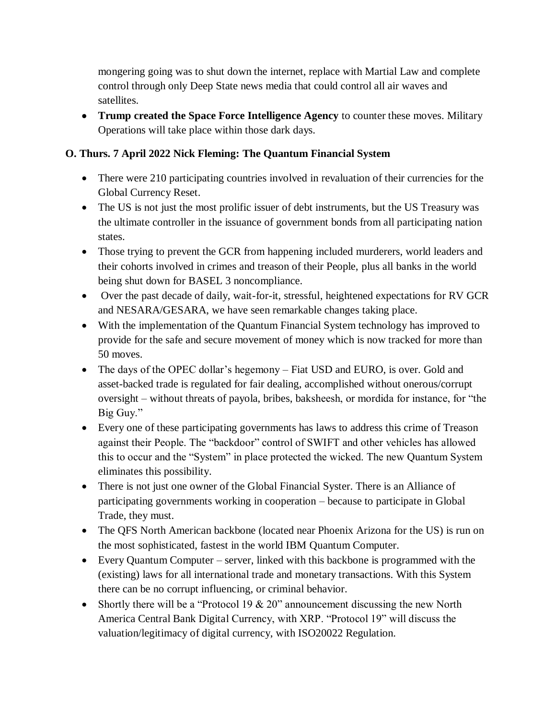mongering going was to shut down the internet, replace with Martial Law and complete control through only Deep State news media that could control all air waves and satellites.

 **Trump created the Space Force Intelligence Agency** to counter these moves. Military Operations will take place within those dark days.

# **O. Thurs. 7 April 2022 Nick Fleming: The Quantum Financial System**

- There were 210 participating countries involved in revaluation of their currencies for the Global Currency Reset.
- The US is not just the most prolific issuer of debt instruments, but the US Treasury was the ultimate controller in the issuance of government bonds from all participating nation states.
- Those trying to prevent the GCR from happening included murderers, world leaders and their cohorts involved in crimes and treason of their People, plus all banks in the world being shut down for BASEL 3 noncompliance.
- Over the past decade of daily, wait-for-it, stressful, heightened expectations for RV GCR and NESARA/GESARA, we have seen remarkable changes taking place.
- With the implementation of the Quantum Financial System technology has improved to provide for the safe and secure movement of money which is now tracked for more than 50 moves.
- The days of the OPEC dollar's hegemony Fiat USD and EURO, is over. Gold and asset-backed trade is regulated for fair dealing, accomplished without onerous/corrupt oversight – without threats of payola, bribes, baksheesh, or mordida for instance, for "the Big Guy."
- Every one of these participating governments has laws to address this crime of Treason against their People. The "backdoor" control of SWIFT and other vehicles has allowed this to occur and the "System" in place protected the wicked. The new Quantum System eliminates this possibility.
- There is not just one owner of the Global Financial Syster. There is an Alliance of participating governments working in cooperation – because to participate in Global Trade, they must.
- The QFS North American backbone (located near Phoenix Arizona for the US) is run on the most sophisticated, fastest in the world IBM Quantum Computer.
- Every Quantum Computer server, linked with this backbone is programmed with the (existing) laws for all international trade and monetary transactions. With this System there can be no corrupt influencing, or criminal behavior.
- Shortly there will be a "Protocol 19  $& 20$ " announcement discussing the new North America Central Bank Digital Currency, with XRP. "Protocol 19" will discuss the valuation/legitimacy of digital currency, with ISO20022 Regulation.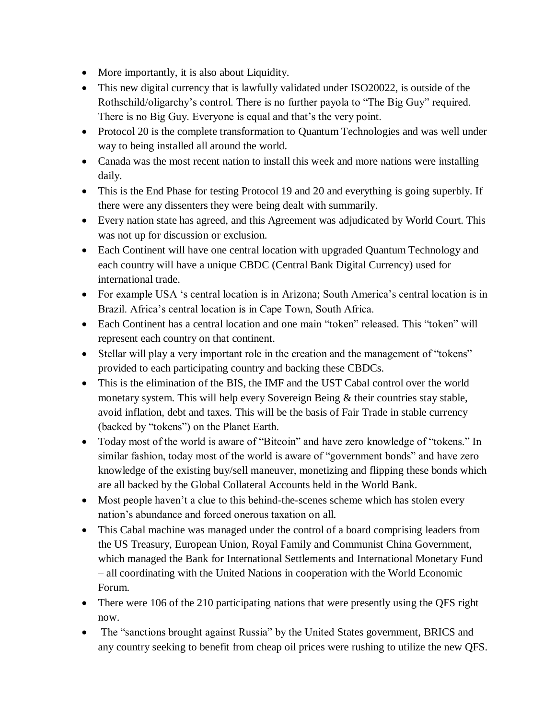- More importantly, it is also about Liquidity.
- This new digital currency that is lawfully validated under ISO20022, is outside of the Rothschild/oligarchy"s control. There is no further payola to "The Big Guy" required. There is no Big Guy. Everyone is equal and that's the very point.
- Protocol 20 is the complete transformation to Quantum Technologies and was well under way to being installed all around the world.
- Canada was the most recent nation to install this week and more nations were installing daily.
- This is the End Phase for testing Protocol 19 and 20 and everything is going superbly. If there were any dissenters they were being dealt with summarily.
- Every nation state has agreed, and this Agreement was adjudicated by World Court. This was not up for discussion or exclusion.
- Each Continent will have one central location with upgraded Quantum Technology and each country will have a unique CBDC (Central Bank Digital Currency) used for international trade.
- For example USA 's central location is in Arizona; South America's central location is in Brazil. Africa"s central location is in Cape Town, South Africa.
- Each Continent has a central location and one main "token" released. This "token" will represent each country on that continent.
- Stellar will play a very important role in the creation and the management of "tokens" provided to each participating country and backing these CBDCs.
- This is the elimination of the BIS, the IMF and the UST Cabal control over the world monetary system. This will help every Sovereign Being & their countries stay stable, avoid inflation, debt and taxes. This will be the basis of Fair Trade in stable currency (backed by "tokens") on the Planet Earth.
- Today most of the world is aware of "Bitcoin" and have zero knowledge of "tokens." In similar fashion, today most of the world is aware of "government bonds" and have zero knowledge of the existing buy/sell maneuver, monetizing and flipping these bonds which are all backed by the Global Collateral Accounts held in the World Bank.
- Most people haven't a clue to this behind-the-scenes scheme which has stolen every nation"s abundance and forced onerous taxation on all.
- This Cabal machine was managed under the control of a board comprising leaders from the US Treasury, European Union, Royal Family and Communist China Government, which managed the Bank for International Settlements and International Monetary Fund – all coordinating with the United Nations in cooperation with the World Economic Forum.
- There were 106 of the 210 participating nations that were presently using the QFS right now.
- The "sanctions brought against Russia" by the United States government, BRICS and any country seeking to benefit from cheap oil prices were rushing to utilize the new QFS.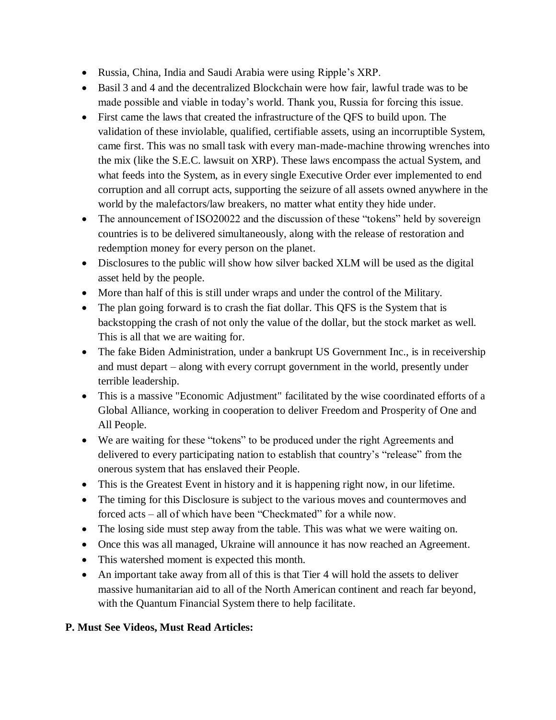- Russia, China, India and Saudi Arabia were using Ripple"s XRP.
- Basil 3 and 4 and the decentralized Blockchain were how fair, lawful trade was to be made possible and viable in today"s world. Thank you, Russia for forcing this issue.
- First came the laws that created the infrastructure of the QFS to build upon. The validation of these inviolable, qualified, certifiable assets, using an incorruptible System, came first. This was no small task with every man-made-machine throwing wrenches into the mix (like the S.E.C. lawsuit on XRP). These laws encompass the actual System, and what feeds into the System, as in every single Executive Order ever implemented to end corruption and all corrupt acts, supporting the seizure of all assets owned anywhere in the world by the malefactors/law breakers, no matter what entity they hide under.
- The announcement of ISO20022 and the discussion of these "tokens" held by sovereign countries is to be delivered simultaneously, along with the release of restoration and redemption money for every person on the planet.
- Disclosures to the public will show how silver backed XLM will be used as the digital asset held by the people.
- More than half of this is still under wraps and under the control of the Military.
- The plan going forward is to crash the fiat dollar. This QFS is the System that is backstopping the crash of not only the value of the dollar, but the stock market as well. This is all that we are waiting for.
- The fake Biden Administration, under a bankrupt US Government Inc., is in receivership and must depart – along with every corrupt government in the world, presently under terrible leadership.
- This is a massive "Economic Adjustment" facilitated by the wise coordinated efforts of a Global Alliance, working in cooperation to deliver Freedom and Prosperity of One and All People.
- We are waiting for these "tokens" to be produced under the right Agreements and delivered to every participating nation to establish that country"s "release" from the onerous system that has enslaved their People.
- This is the Greatest Event in history and it is happening right now, in our lifetime.
- The timing for this Disclosure is subject to the various moves and countermoves and forced acts – all of which have been "Checkmated" for a while now.
- The losing side must step away from the table. This was what we were waiting on.
- Once this was all managed, Ukraine will announce it has now reached an Agreement.
- This watershed moment is expected this month.
- An important take away from all of this is that Tier 4 will hold the assets to deliver massive humanitarian aid to all of the North American continent and reach far beyond, with the Quantum Financial System there to help facilitate.

## **P. Must See Videos, Must Read Articles:**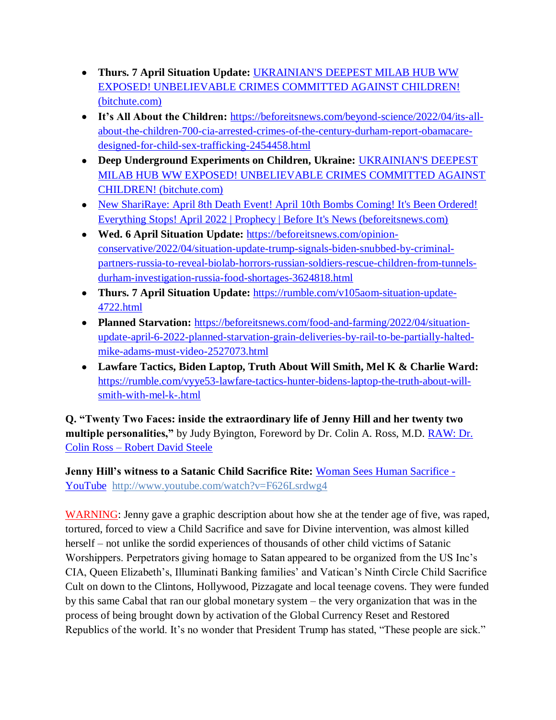- **Thurs. 7 April Situation Update:** [UKRAINIAN'S DEEPEST MILAB HUB WW](https://www.bitchute.com/video/tMcNLmG6lYj3/)  [EXPOSED! UNBELIEVABLE CRIMES COMMITTED AGAINST CHILDREN!](https://www.bitchute.com/video/tMcNLmG6lYj3/)  [\(bitchute.com\)](https://www.bitchute.com/video/tMcNLmG6lYj3/)
- **It's All About the Children:** [https://beforeitsnews.com/beyond-science/2022/04/its-all](https://beforeitsnews.com/beyond-science/2022/04/its-all-about-the-children-700-cia-arrested-crimes-of-the-century-durham-report-obamacare-designed-for-child-sex-trafficking-2454458.html)[about-the-children-700-cia-arrested-crimes-of-the-century-durham-report-obamacare](https://beforeitsnews.com/beyond-science/2022/04/its-all-about-the-children-700-cia-arrested-crimes-of-the-century-durham-report-obamacare-designed-for-child-sex-trafficking-2454458.html)[designed-for-child-sex-trafficking-2454458.html](https://beforeitsnews.com/beyond-science/2022/04/its-all-about-the-children-700-cia-arrested-crimes-of-the-century-durham-report-obamacare-designed-for-child-sex-trafficking-2454458.html)
- **Deep Underground Experiments on Children, Ukraine:** [UKRAINIAN'S DEEPEST](https://www.bitchute.com/video/tMcNLmG6lYj3/)  [MILAB HUB WW EXPOSED! UNBELIEVABLE CRIMES COMMITTED AGAINST](https://www.bitchute.com/video/tMcNLmG6lYj3/)  [CHILDREN! \(bitchute.com\)](https://www.bitchute.com/video/tMcNLmG6lYj3/)
- New ShariRaye: April 8th Death Event! April 10th Bombs Coming! It's Been Ordered! [Everything Stops! April 2022 | Prophecy | Before](https://beforeitsnews.com/prophecy/2022/04/new-shariraye-april-8th-death-event-its-been-ordered-everything-stops-april-2022-2529511.html) It's News (beforeitsnews.com)
- **Wed. 6 April Situation Update:** [https://beforeitsnews.com/opinion](https://beforeitsnews.com/opinion-conservative/2022/04/situation-update-trump-signals-biden-snubbed-by-criminal-partners-russia-to-reveal-biolab-horrors-russian-soldiers-rescue-children-from-tunnels-durham-investigation-russia-food-shortages-3624818.html)[conservative/2022/04/situation-update-trump-signals-biden-snubbed-by-criminal](https://beforeitsnews.com/opinion-conservative/2022/04/situation-update-trump-signals-biden-snubbed-by-criminal-partners-russia-to-reveal-biolab-horrors-russian-soldiers-rescue-children-from-tunnels-durham-investigation-russia-food-shortages-3624818.html)[partners-russia-to-reveal-biolab-horrors-russian-soldiers-rescue-children-from-tunnels](https://beforeitsnews.com/opinion-conservative/2022/04/situation-update-trump-signals-biden-snubbed-by-criminal-partners-russia-to-reveal-biolab-horrors-russian-soldiers-rescue-children-from-tunnels-durham-investigation-russia-food-shortages-3624818.html)[durham-investigation-russia-food-shortages-3624818.html](https://beforeitsnews.com/opinion-conservative/2022/04/situation-update-trump-signals-biden-snubbed-by-criminal-partners-russia-to-reveal-biolab-horrors-russian-soldiers-rescue-children-from-tunnels-durham-investigation-russia-food-shortages-3624818.html)
- **Thurs. 7 April Situation Update:** [https://rumble.com/v105aom-situation-update-](https://rumble.com/v105aom-situation-update-4722.html)[4722.html](https://rumble.com/v105aom-situation-update-4722.html)
- **Planned Starvation:** [https://beforeitsnews.com/food-and-farming/2022/04/situation](https://beforeitsnews.com/food-and-farming/2022/04/situation-update-april-6-2022-planned-starvation-grain-deliveries-by-rail-to-be-partially-halted-mike-adams-must-video-2527073.html)[update-april-6-2022-planned-starvation-grain-deliveries-by-rail-to-be-partially-halted](https://beforeitsnews.com/food-and-farming/2022/04/situation-update-april-6-2022-planned-starvation-grain-deliveries-by-rail-to-be-partially-halted-mike-adams-must-video-2527073.html)[mike-adams-must-video-2527073.html](https://beforeitsnews.com/food-and-farming/2022/04/situation-update-april-6-2022-planned-starvation-grain-deliveries-by-rail-to-be-partially-halted-mike-adams-must-video-2527073.html)
- **Lawfare Tactics, Biden Laptop, Truth About Will Smith, Mel K & Charlie Ward:**  [https://rumble.com/vyye53-lawfare-tactics-hunter-bidens-laptop-the-truth-about-will](https://rumble.com/vyye53-lawfare-tactics-hunter-bidens-laptop-the-truth-about-will-smith-with-mel-k-.html)[smith-with-mel-k-.html](https://rumble.com/vyye53-lawfare-tactics-hunter-bidens-laptop-the-truth-about-will-smith-with-mel-k-.html)

**Q. "Twenty Two Faces: inside the extraordinary life of Jenny Hill and her twenty two multiple personalities,"** by Judy Byington, Foreword by Dr. Colin A. Ross, M.D. **RAW: Dr.** Colin Ross – [Robert David Steele](https://robertdavidsteele.com/dr-colin-ross/)

**Jenny Hill's witness to a Satanic Child Sacrifice Rite:** [Woman Sees Human Sacrifice -](https://www.youtube.com/watch?v=F626Lsrdwg4) [YouTube http://www.youtube.com/watch?v=F626Lsrdwg4](https://www.youtube.com/watch?v=F626Lsrdwg4)

WARNING: Jenny gave a graphic description about how she at the tender age of five, was raped, tortured, forced to view a Child Sacrifice and save for Divine intervention, was almost killed herself – not unlike the sordid experiences of thousands of other child victims of Satanic Worshippers. Perpetrators giving homage to Satan appeared to be organized from the US Inc"s CIA, Queen Elizabeth"s, Illuminati Banking families" and Vatican"s Ninth Circle Child Sacrifice Cult on down to the Clintons, Hollywood, Pizzagate and local teenage covens. They were funded by this same Cabal that ran our global monetary system – the very organization that was in the process of being brought down by activation of the Global Currency Reset and Restored Republics of the world. It's no wonder that President Trump has stated, "These people are sick."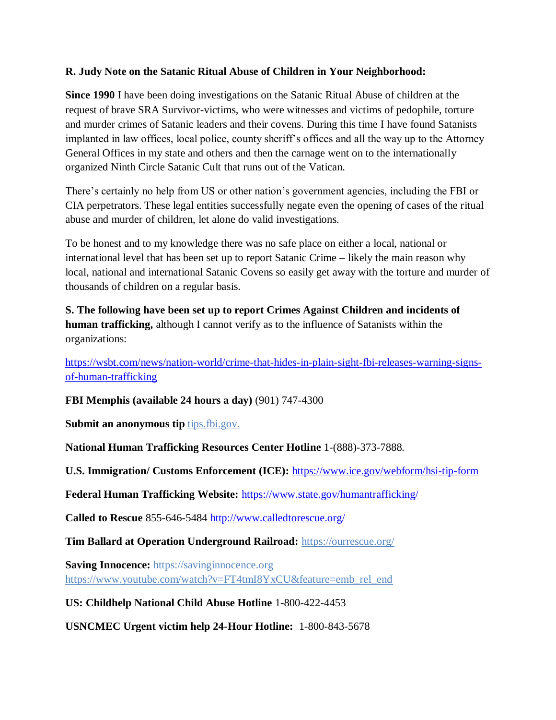## **R. Judy Note on the Satanic Ritual Abuse of Children in Your Neighborhood:**

**Since 1990** I have been doing investigations on the Satanic Ritual Abuse of children at the request of brave SRA Survivor-victims, who were witnesses and victims of pedophile, torture and murder crimes of Satanic leaders and their covens. During this time I have found Satanists implanted in law offices, local police, county sheriff's offices and all the way up to the Attorney General Offices in my state and others and then the carnage went on to the internationally organized Ninth Circle Satanic Cult that runs out of the Vatican.

There's certainly no help from US or other nation's government agencies, including the FBI or CIA perpetrators. These legal entities successfully negate even the opening of cases of the ritual abuse and murder of children, let alone do valid investigations.

To be honest and to my knowledge there was no safe place on either a local, national or international level that has been set up to report Satanic Crime – likely the main reason why local, national and international Satanic Covens so easily get away with the torture and murder of thousands of children on a regular basis.

**S. The following have been set up to report Crimes Against Children and incidents of human trafficking,** although I cannot verify as to the influence of Satanists within the organizations:

[https://wsbt.com/news/nation-world/crime-that-hides-in-plain-sight-fbi-releases-warning-signs](https://wsbt.com/news/nation-world/crime-that-hides-in-plain-sight-fbi-releases-warning-signs-of-human-trafficking?video=e56ba52a1b9d45ad8c8a033fd83fe480&jwsource=cl)[of-human-trafficking](https://wsbt.com/news/nation-world/crime-that-hides-in-plain-sight-fbi-releases-warning-signs-of-human-trafficking?video=e56ba52a1b9d45ad8c8a033fd83fe480&jwsource=cl)

**FBI Memphis (available 24 hours a day)** (901) 747-4300

**Submit an anonymous tip <b>tips.fbi.gov.** 

**National Human Trafficking Resources Center Hotline** 1-(888)-373-7888.

**U.S. Immigration/ Customs Enforcement (ICE):** <https://www.ice.gov/webform/hsi-tip-form>

**Federal Human Trafficking Website:** <https://www.state.gov/humantrafficking/>

**Called to Rescue** 855-646-5484<http://www.calledtorescue.org/>

**Tim Ballard at Operation Underground Railroad:** <https://ourrescue.org/>

**Saving Innocence:** [https://savinginnocence.org](https://savinginnocence.org/) [https://www.youtube.com/watch?v=FT4tmI8YxCU&feature=emb\\_rel\\_end](https://www.youtube.com/watch?v=FT4tmI8YxCU&feature=emb_rel_end)

**US: Childhelp National Child Abuse Hotline** 1-800-422-4453

**USNCMEC Urgent victim help 24-Hour Hotline:** 1-800-843-5678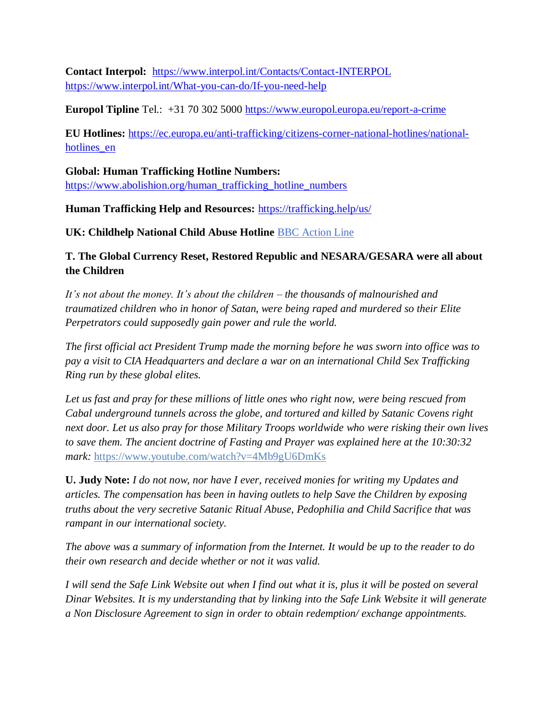**Contact Interpol:** <https://www.interpol.int/Contacts/Contact-INTERPOL> <https://www.interpol.int/What-you-can-do/If-you-need-help>

**Europol Tipline** Tel.: +31 70 302 5000<https://www.europol.europa.eu/report-a-crime>

**EU Hotlines:** [https://ec.europa.eu/anti-trafficking/citizens-corner-national-hotlines/national](https://ec.europa.eu/anti-trafficking/citizens-corner-national-hotlines/national-hotlines_en)hotlines en

## **Global: Human Trafficking Hotline Numbers:**

[https://www.abolishion.org/human\\_trafficking\\_hotline\\_numbers](https://www.abolishion.org/human_trafficking_hotline_numbers)\_

**Human Trafficking Help and Resources:** <https://trafficking.help/us/>

**UK: Childhelp National Child Abuse Hotline** [BBC Action Line](https://www.bbc.co.uk/actionline)

# **T. The Global Currency Reset, Restored Republic and NESARA/GESARA were all about the Children**

*It's not about the money. It's about the children – the thousands of malnourished and traumatized children who in honor of Satan, were being raped and murdered so their Elite Perpetrators could supposedly gain power and rule the world.* 

*The first official act President Trump made the morning before he was sworn into office was to pay a visit to CIA Headquarters and declare a war on an international Child Sex Trafficking Ring run by these global elites.* 

*Let us fast and pray for these millions of little ones who right now, were being rescued from Cabal underground tunnels across the globe, and tortured and killed by Satanic Covens right next door. Let us also pray for those Military Troops worldwide who were risking their own lives to save them. The ancient doctrine of Fasting and Prayer was explained here at the 10:30:32 mark:* <https://www.youtube.com/watch?v=4Mb9gU6DmKs>

**U. Judy Note:** *I do not now, nor have I ever, received monies for writing my Updates and articles. The compensation has been in having outlets to help Save the Children by exposing truths about the very secretive Satanic Ritual Abuse, Pedophilia and Child Sacrifice that was rampant in our international society.*

*The above was a summary of information from the Internet. It would be up to the reader to do their own research and decide whether or not it was valid.*

*I will send the Safe Link Website out when I find out what it is, plus it will be posted on several Dinar Websites. It is my understanding that by linking into the Safe Link Website it will generate a Non Disclosure Agreement to sign in order to obtain redemption/ exchange appointments.*